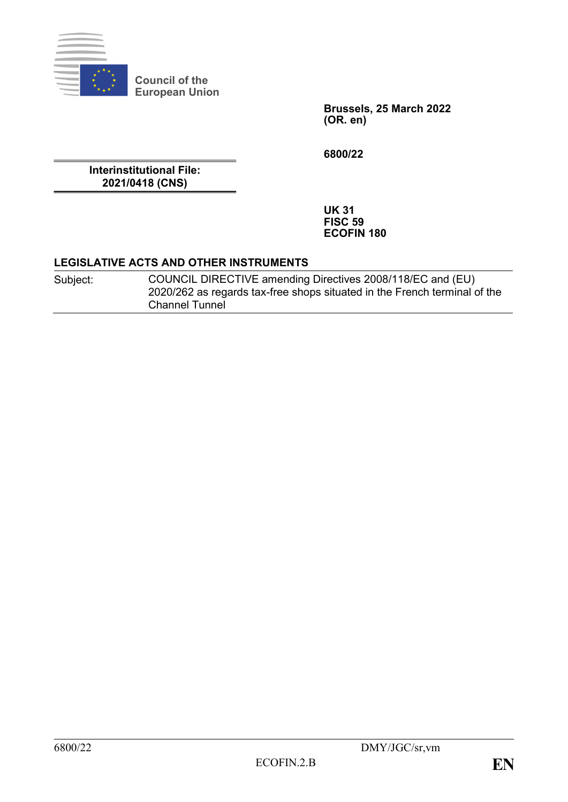

**Council of the European Union**

> **Brussels, 25 March 2022 (OR. en)**

**6800/22**

**Interinstitutional File: 2021/0418 (CNS)**

> **UK 31 FISC 59 ECOFIN 180**

#### **LEGISLATIVE ACTS AND OTHER INSTRUMENTS**

| Subject: | COUNCIL DIRECTIVE amending Directives 2008/118/EC and (EU)                |
|----------|---------------------------------------------------------------------------|
|          | 2020/262 as regards tax-free shops situated in the French terminal of the |
|          | <b>Channel Tunnel</b>                                                     |

 $\overline{\phantom{a}}$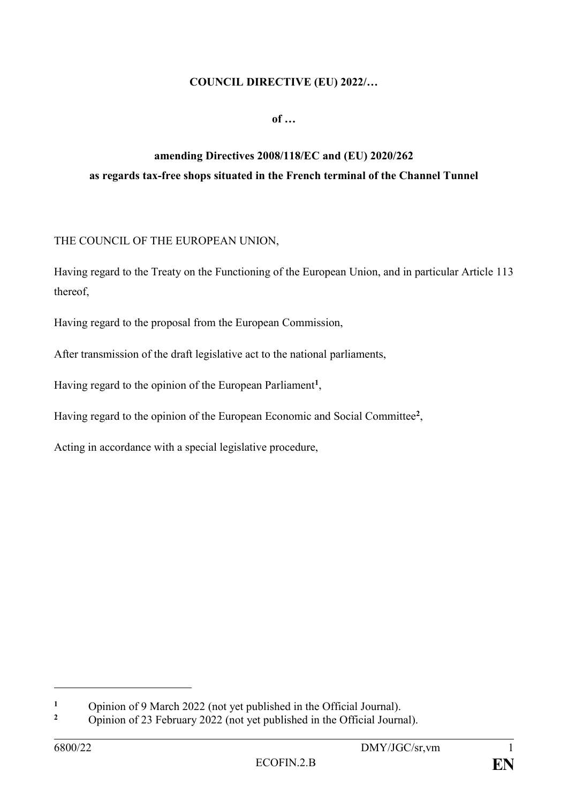### **COUNCIL DIRECTIVE (EU) 2022/…**

**of …**

## **amending Directives 2008/118/EC and (EU) 2020/262 as regards tax-free shops situated in the French terminal of the Channel Tunnel**

### THE COUNCIL OF THE EUROPEAN UNION,

Having regard to the Treaty on the Functioning of the European Union, and in particular Article 113 thereof,

Having regard to the proposal from the European Commission,

After transmission of the draft legislative act to the national parliaments,

Having regard to the opinion of the European Parliament**<sup>1</sup>** ,

Having regard to the opinion of the European Economic and Social Committee**<sup>2</sup>** ,

Acting in accordance with a special legislative procedure,

1

<sup>&</sup>lt;sup>1</sup> Opinion of 9 March 2022 (not yet published in the Official Journal).

**<sup>2</sup>** Opinion of 23 February 2022 (not yet published in the Official Journal).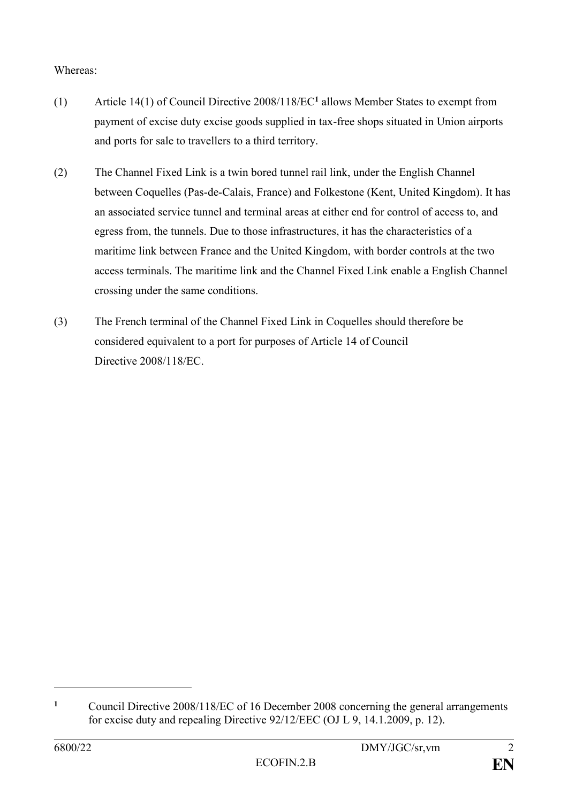### Whereas:

- (1) Article 14(1) of Council Directive 2008/118/EC**<sup>1</sup>** allows Member States to exempt from payment of excise duty excise goods supplied in tax-free shops situated in Union airports and ports for sale to travellers to a third territory.
- (2) The Channel Fixed Link is a twin bored tunnel rail link, under the English Channel between Coquelles (Pas-de-Calais, France) and Folkestone (Kent, United Kingdom). It has an associated service tunnel and terminal areas at either end for control of access to, and egress from, the tunnels. Due to those infrastructures, it has the characteristics of a maritime link between France and the United Kingdom, with border controls at the two access terminals. The maritime link and the Channel Fixed Link enable a English Channel crossing under the same conditions.
- (3) The French terminal of the Channel Fixed Link in Coquelles should therefore be considered equivalent to a port for purposes of Article 14 of Council Directive 2008/118/EC.

1

**<sup>1</sup>** Council Directive 2008/118/EC of 16 December 2008 concerning the general arrangements for excise duty and repealing Directive 92/12/EEC (OJ L 9, 14.1.2009, p. 12).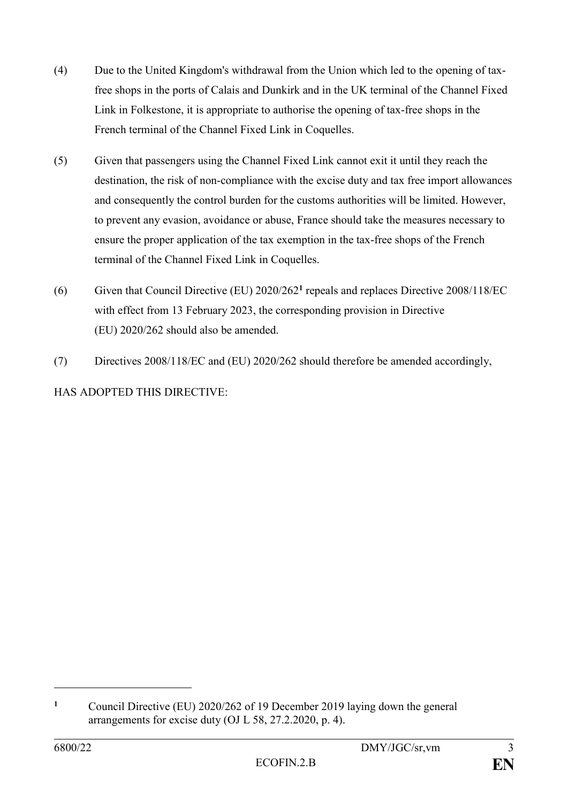- (4) Due to the United Kingdom's withdrawal from the Union which led to the opening of taxfree shops in the ports of Calais and Dunkirk and in the UK terminal of the Channel Fixed Link in Folkestone, it is appropriate to authorise the opening of tax-free shops in the French terminal of the Channel Fixed Link in Coquelles.
- (5) Given that passengers using the Channel Fixed Link cannot exit it until they reach the destination, the risk of non-compliance with the excise duty and tax free import allowances and consequently the control burden for the customs authorities will be limited. However, to prevent any evasion, avoidance or abuse, France should take the measures necessary to ensure the proper application of the tax exemption in the tax-free shops of the French terminal of the Channel Fixed Link in Coquelles.
- (6) Given that Council Directive (EU) 2020/262**<sup>1</sup>** repeals and replaces Directive 2008/118/EC with effect from 13 February 2023, the corresponding provision in Directive (EU) 2020/262 should also be amended.
- (7) Directives 2008/118/EC and (EU) 2020/262 should therefore be amended accordingly,

HAS ADOPTED THIS DIRECTIVE:

1

**<sup>1</sup>** Council Directive (EU) 2020/262 of 19 December 2019 laying down the general arrangements for excise duty (OJ L 58, 27.2.2020, p. 4).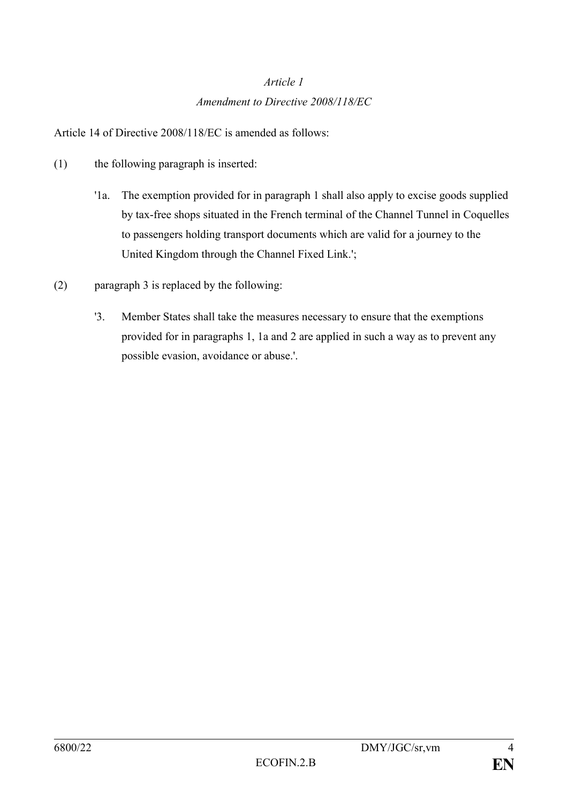# *Article 1 Amendment to Directive 2008/118/EC*

Article 14 of Directive 2008/118/EC is amended as follows:

- (1) the following paragraph is inserted:
	- '1a. The exemption provided for in paragraph 1 shall also apply to excise goods supplied by tax-free shops situated in the French terminal of the Channel Tunnel in Coquelles to passengers holding transport documents which are valid for a journey to the United Kingdom through the Channel Fixed Link.';
- (2) paragraph 3 is replaced by the following:
	- '3. Member States shall take the measures necessary to ensure that the exemptions provided for in paragraphs 1, 1a and 2 are applied in such a way as to prevent any possible evasion, avoidance or abuse.'.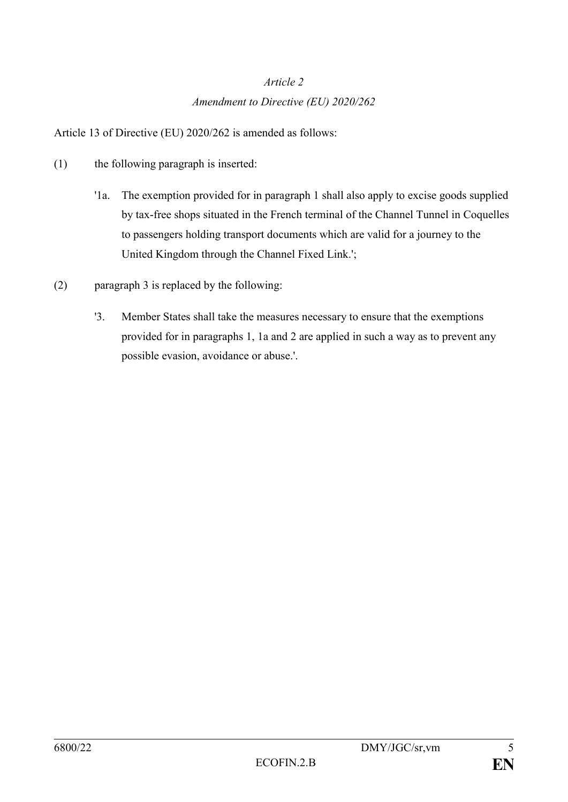# *Article 2 Amendment to Directive (EU) 2020/262*

Article 13 of Directive (EU) 2020/262 is amended as follows:

- (1) the following paragraph is inserted:
	- '1a. The exemption provided for in paragraph 1 shall also apply to excise goods supplied by tax-free shops situated in the French terminal of the Channel Tunnel in Coquelles to passengers holding transport documents which are valid for a journey to the United Kingdom through the Channel Fixed Link.';
- (2) paragraph 3 is replaced by the following:
	- '3. Member States shall take the measures necessary to ensure that the exemptions provided for in paragraphs 1, 1a and 2 are applied in such a way as to prevent any possible evasion, avoidance or abuse.'.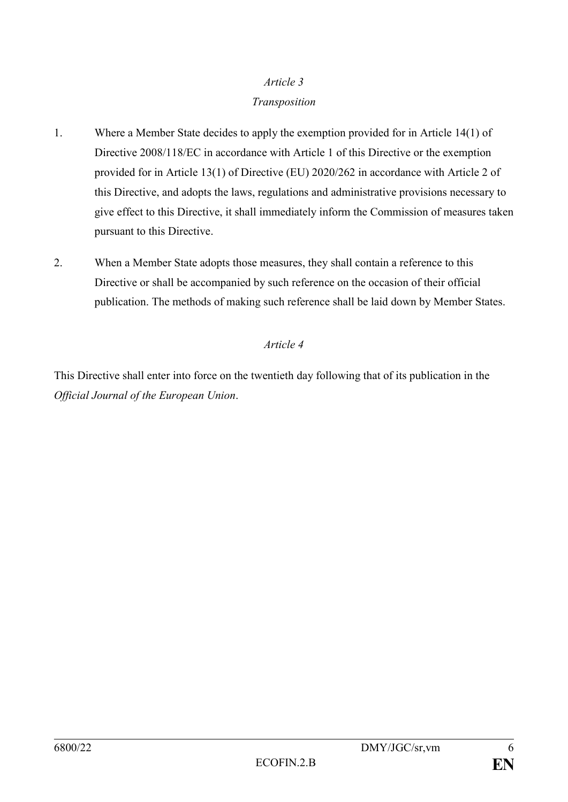#### *Article 3*

#### *Transposition*

- 1. Where a Member State decides to apply the exemption provided for in Article 14(1) of Directive 2008/118/EC in accordance with Article 1 of this Directive or the exemption provided for in Article 13(1) of Directive (EU) 2020/262 in accordance with Article 2 of this Directive, and adopts the laws, regulations and administrative provisions necessary to give effect to this Directive, it shall immediately inform the Commission of measures taken pursuant to this Directive.
- 2. When a Member State adopts those measures, they shall contain a reference to this Directive or shall be accompanied by such reference on the occasion of their official publication. The methods of making such reference shall be laid down by Member States.

### *Article 4*

This Directive shall enter into force on the twentieth day following that of its publication in the *Official Journal of the European Union*.